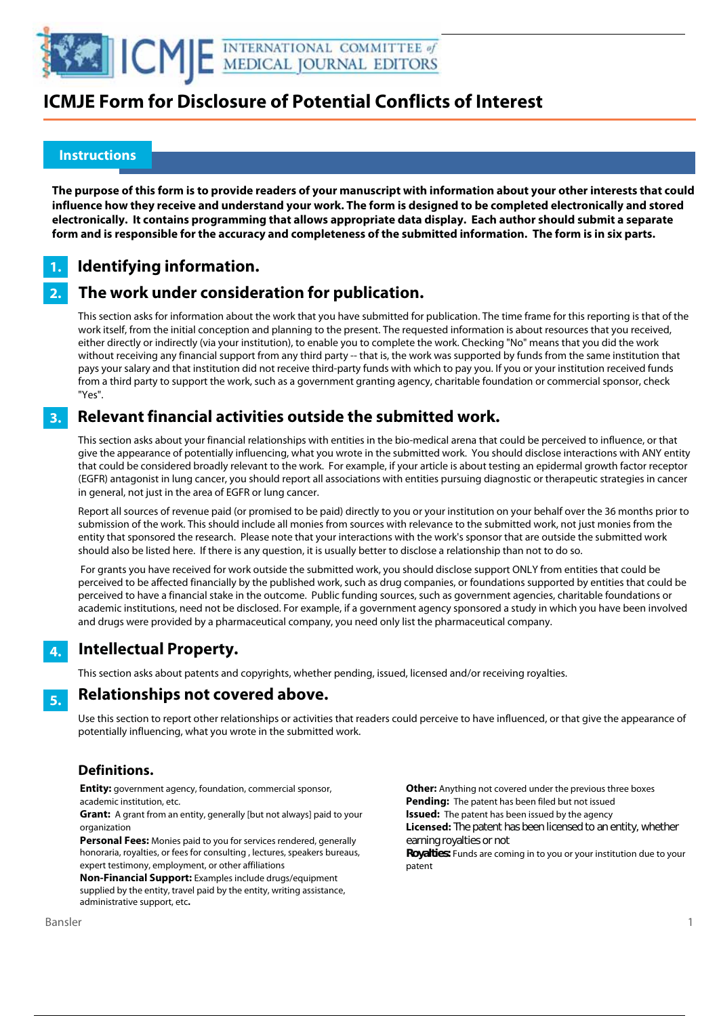

### **Instructions**

**The purpose of this form is to provide readers of your manuscript with information about your other interests that could influence how they receive and understand your work. The form is designed to be completed electronically and stored electronically. It contains programming that allows appropriate data display. Each author should submit a separate form and is responsible for the accuracy and completeness of the submitted information. The form is in six parts.** 

#### **Identifying information. 1.**

### **The work under consideration for publication. 2.**

This section asks for information about the work that you have submitted for publication. The time frame for this reporting is that of the work itself, from the initial conception and planning to the present. The requested information is about resources that you received, either directly or indirectly (via your institution), to enable you to complete the work. Checking "No" means that you did the work without receiving any financial support from any third party -- that is, the work was supported by funds from the same institution that pays your salary and that institution did not receive third-party funds with which to pay you. If you or your institution received funds from a third party to support the work, such as a government granting agency, charitable foundation or commercial sponsor, check "Yes".

#### **Relevant financial activities outside the submitted work. 3.**

This section asks about your financial relationships with entities in the bio-medical arena that could be perceived to influence, or that give the appearance of potentially influencing, what you wrote in the submitted work. You should disclose interactions with ANY entity that could be considered broadly relevant to the work. For example, if your article is about testing an epidermal growth factor receptor (EGFR) antagonist in lung cancer, you should report all associations with entities pursuing diagnostic or therapeutic strategies in cancer in general, not just in the area of EGFR or lung cancer.

Report all sources of revenue paid (or promised to be paid) directly to you or your institution on your behalf over the 36 months prior to submission of the work. This should include all monies from sources with relevance to the submitted work, not just monies from the entity that sponsored the research. Please note that your interactions with the work's sponsor that are outside the submitted work should also be listed here. If there is any question, it is usually better to disclose a relationship than not to do so.

 For grants you have received for work outside the submitted work, you should disclose support ONLY from entities that could be perceived to be affected financially by the published work, such as drug companies, or foundations supported by entities that could be perceived to have a financial stake in the outcome. Public funding sources, such as government agencies, charitable foundations or academic institutions, need not be disclosed. For example, if a government agency sponsored a study in which you have been involved and drugs were provided by a pharmaceutical company, you need only list the pharmaceutical company.

### **Intellectual Property. 4.**

This section asks about patents and copyrights, whether pending, issued, licensed and/or receiving royalties.

#### **Relationships not covered above. 5.**

Use this section to report other relationships or activities that readers could perceive to have influenced, or that give the appearance of potentially influencing, what you wrote in the submitted work.

### **Definitions.**

**Entity:** government agency, foundation, commercial sponsor, academic institution, etc.

**Grant:** A grant from an entity, generally [but not always] paid to your organization

**Personal Fees:** Monies paid to you for services rendered, generally honoraria, royalties, or fees for consulting , lectures, speakers bureaus, expert testimony, employment, or other affiliations

**Non-Financial Support:** Examples include drugs/equipment supplied by the entity, travel paid by the entity, writing assistance, administrative support, etc**.**

**Other:** Anything not covered under the previous three boxes **Pending:** The patent has been filed but not issued **Issued:** The patent has been issued by the agency **Licensed:** The patent has been licensed to an entity, whether earning royalties or not **Royalties:** Funds are coming in to you or your institution due to your patent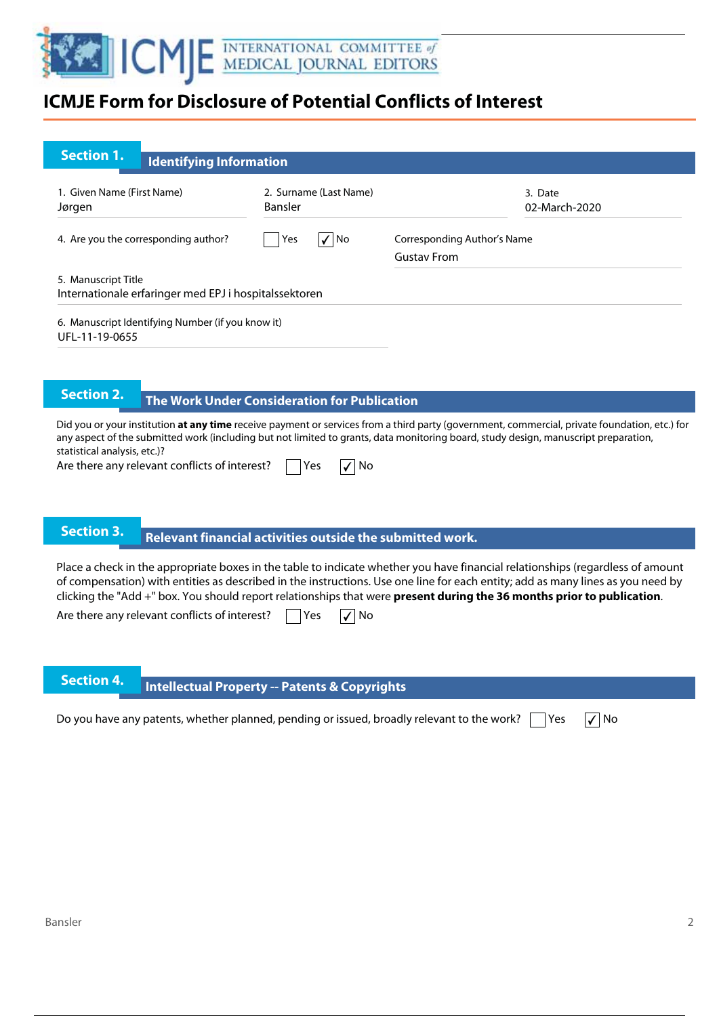

| <b>Section 1.</b>                    | <b>Identifying Information</b>                        |                                          |                                                   |
|--------------------------------------|-------------------------------------------------------|------------------------------------------|---------------------------------------------------|
| 1. Given Name (First Name)<br>Jørgen |                                                       | 2. Surname (Last Name)<br><b>Bansler</b> | 3. Date<br>02-March-2020                          |
|                                      | 4. Are you the corresponding author?                  | $\sqrt{ NQ}$<br>Yes                      | Corresponding Author's Name<br><b>Gustav From</b> |
| 5. Manuscript Title                  | Internationale erfaringer med EPJ i hospitalssektoren |                                          |                                                   |
| UFL-11-19-0655                       | 6. Manuscript Identifying Number (if you know it)     |                                          |                                                   |

# **The Work Under Consideration for Publication**

Did you or your institution **at any time** receive payment or services from a third party (government, commercial, private foundation, etc.) for any aspect of the submitted work (including but not limited to grants, data monitoring board, study design, manuscript preparation, statistical analysis, etc.)?

 $\sqrt{}$  No

|  | Are there any relevant conflicts of interest? |  | l Ye |
|--|-----------------------------------------------|--|------|
|--|-----------------------------------------------|--|------|

## **Relevant financial activities outside the submitted work. Section 3. Relevant financial activities outside the submitted work.**

Place a check in the appropriate boxes in the table to indicate whether you have financial relationships (regardless of amount of compensation) with entities as described in the instructions. Use one line for each entity; add as many lines as you need by clicking the "Add +" box. You should report relationships that were **present during the 36 months prior to publication**.

Are there any relevant conflicts of interest?  $\Box$  Yes  $\Box$  No

**Intellectual Property -- Patents & Copyrights** 

| Do you have any patents, whether planned, pending or issued, broadly relevant to the work? $\Box$ Yes $\Box$ No |  |  |  |  |
|-----------------------------------------------------------------------------------------------------------------|--|--|--|--|
|-----------------------------------------------------------------------------------------------------------------|--|--|--|--|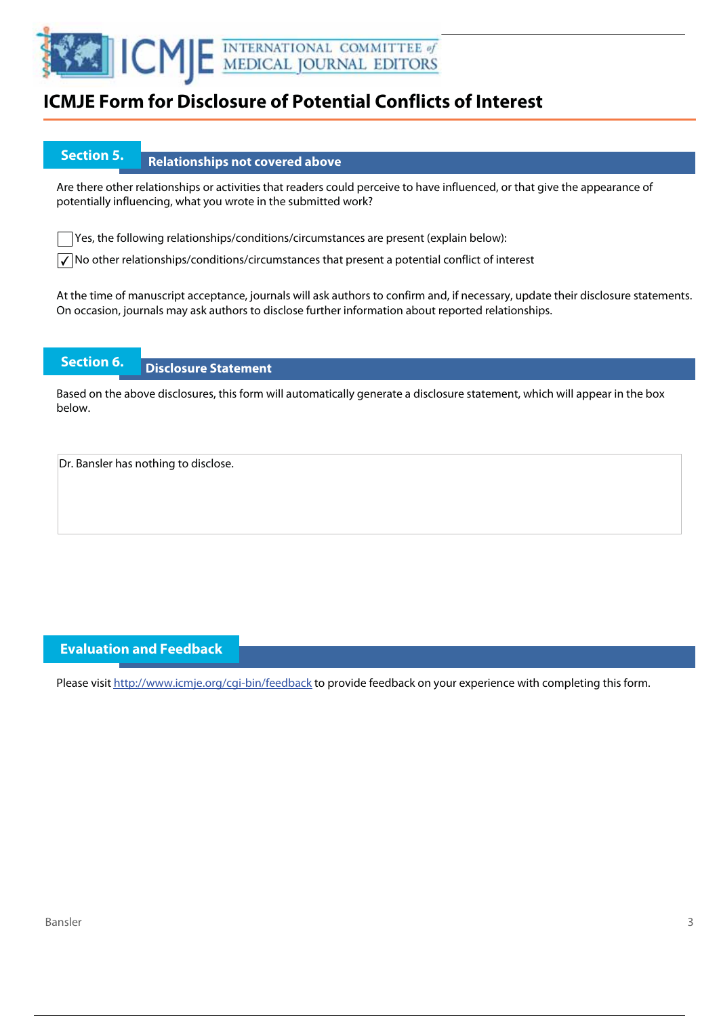

## **Section 5.** Relationships not covered above

Are there other relationships or activities that readers could perceive to have influenced, or that give the appearance of potentially influencing, what you wrote in the submitted work?

Yes, the following relationships/conditions/circumstances are present (explain below):

 $\sqrt{\sqrt{}}$  No other relationships/conditions/circumstances that present a potential conflict of interest

At the time of manuscript acceptance, journals will ask authors to confirm and, if necessary, update their disclosure statements. On occasion, journals may ask authors to disclose further information about reported relationships.

## **Section 6. Disclosure Statement**

Based on the above disclosures, this form will automatically generate a disclosure statement, which will appear in the box below.

Dr. Bansler has nothing to disclose.

### **Evaluation and Feedback**

Please visit http://www.icmje.org/cgi-bin/feedback to provide feedback on your experience with completing this form.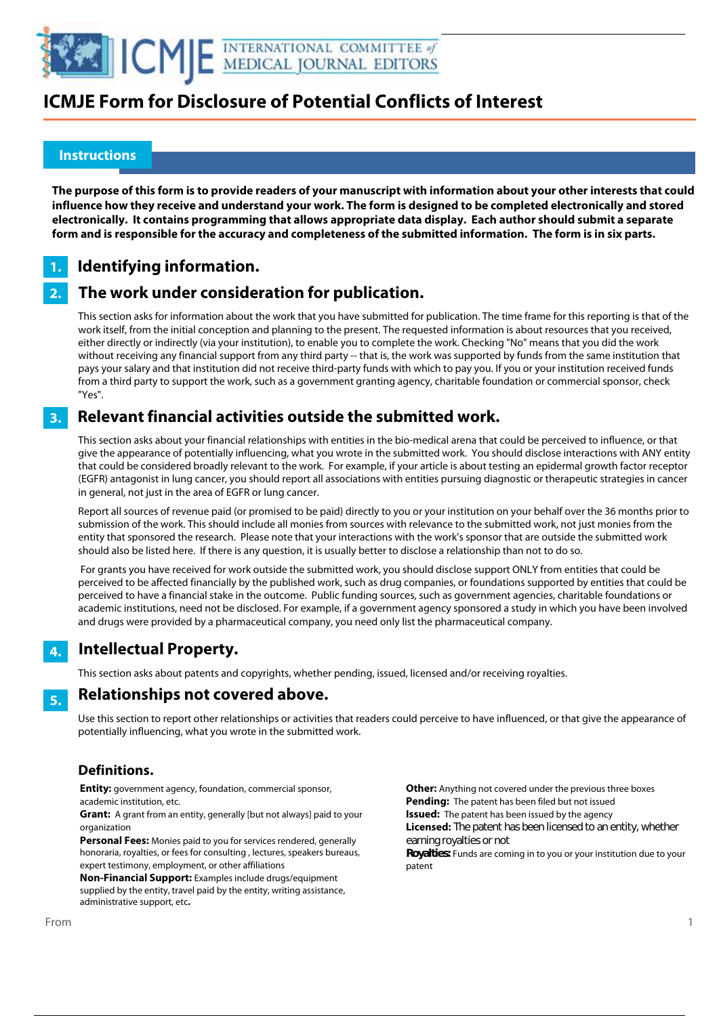

### **Instructions**

**The purpose of this form is to provide readers of your manuscript with information about your other interests that could influence how they receive and understand your work. The form is designed to be completed electronically and stored electronically. It contains programming that allows appropriate data display. Each author should submit a separate form and is responsible for the accuracy and completeness of the submitted information. The form is in six parts.** 

### **Identifying information. 1.**

### **The work under consideration for publication. 2.**

This section asks for information about the work that you have submitted for publication. The time frame for this reporting is that of the work itself, from the initial conception and planning to the present. The requested information is about resources that you received, either directly or indirectly (via your institution), to enable you to complete the work. Checking "No" means that you did the work without receiving any financial support from any third party -- that is, the work was supported by funds from the same institution that pays your salary and that institution did not receive third-party funds with which to pay you. If you or your institution received funds from a third party to support the work, such as a government granting agency, charitable foundation or commercial sponsor, check "Yes".

#### **Relevant financial activities outside the submitted work. 3.**

This section asks about your financial relationships with entities in the bio-medical arena that could be perceived to influence, or that give the appearance of potentially influencing, what you wrote in the submitted work. You should disclose interactions with ANY entity that could be considered broadly relevant to the work. For example, if your article is about testing an epidermal growth factor receptor (EGFR) antagonist in lung cancer, you should report all associations with entities pursuing diagnostic or therapeutic strategies in cancer in general, not just in the area of EGFR or lung cancer.

Report all sources of revenue paid (or promised to be paid) directly to you or your institution on your behalf over the 36 months prior to submission of the work. This should include all monies from sources with relevance to the submitted work, not just monies from the entity that sponsored the research. Please note that your interactions with the work's sponsor that are outside the submitted work should also be listed here. If there is any question, it is usually better to disclose a relationship than not to do so.

 For grants you have received for work outside the submitted work, you should disclose support ONLY from entities that could be perceived to be affected financially by the published work, such as drug companies, or foundations supported by entities that could be perceived to have a financial stake in the outcome. Public funding sources, such as government agencies, charitable foundations or academic institutions, need not be disclosed. For example, if a government agency sponsored a study in which you have been involved and drugs were provided by a pharmaceutical company, you need only list the pharmaceutical company.

### **Intellectual Property. 4.**

This section asks about patents and copyrights, whether pending, issued, licensed and/or receiving royalties.

#### **Relationships not covered above. 5.**

Use this section to report other relationships or activities that readers could perceive to have influenced, or that give the appearance of potentially influencing, what you wrote in the submitted work.

### **Definitions.**

**Entity:** government agency, foundation, commercial sponsor, academic institution, etc.

**Grant:** A grant from an entity, generally [but not always] paid to your organization

**Personal Fees:** Monies paid to you for services rendered, generally honoraria, royalties, or fees for consulting , lectures, speakers bureaus, expert testimony, employment, or other affiliations

**Non-Financial Support:** Examples include drugs/equipment supplied by the entity, travel paid by the entity, writing assistance, administrative support, etc**.**

**Other:** Anything not covered under the previous three boxes **Pending:** The patent has been filed but not issued **Issued:** The patent has been issued by the agency **Licensed:** The patent has been licensed to an entity, whether earning royalties or not **Royalties:** Funds are coming in to you or your institution due to your patent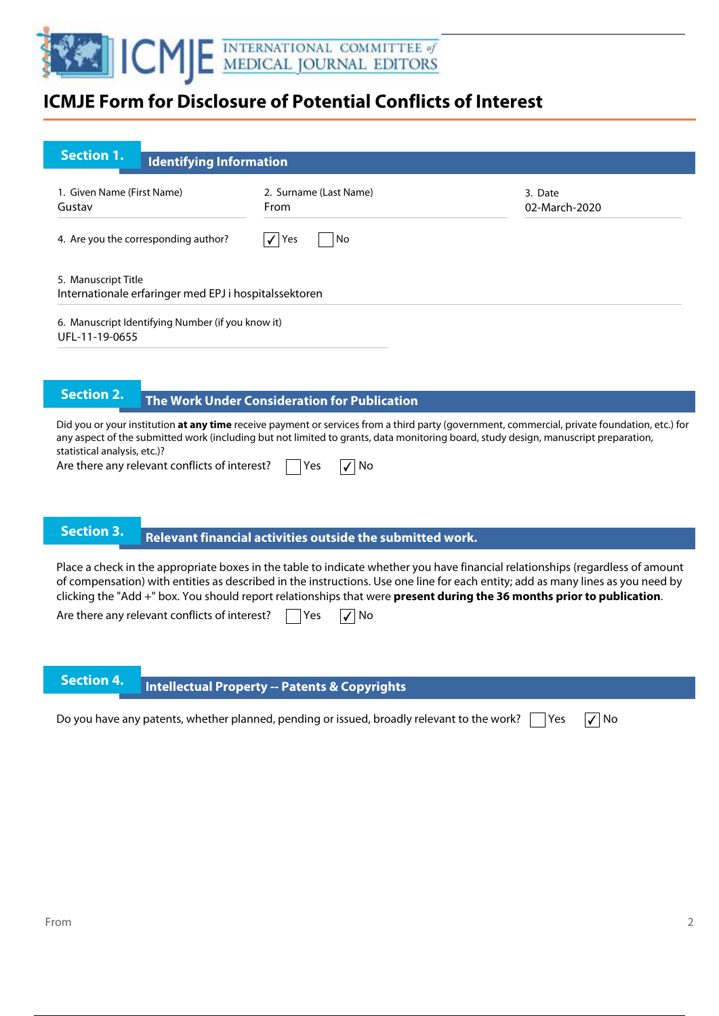

| <b>Section 1.</b>                    | <b>Identifying Information</b>                        |                                                     |                          |
|--------------------------------------|-------------------------------------------------------|-----------------------------------------------------|--------------------------|
| 1. Given Name (First Name)<br>Gustav |                                                       | 2. Surname (Last Name)<br>From                      | 3. Date<br>02-March-2020 |
|                                      | 4. Are you the corresponding author?                  | Yes<br>No                                           |                          |
| 5. Manuscript Title                  | Internationale erfaringer med EPJ i hospitalssektoren |                                                     |                          |
| UFL-11-19-0655                       | 6. Manuscript Identifying Number (if you know it)     |                                                     |                          |
|                                      |                                                       |                                                     |                          |
| <b>Section 2.</b>                    |                                                       | <b>The Work Under Consideration for Publication</b> |                          |

Did you or your institution **at any time** receive payment or services from a third party (government, commercial, private foundation, etc.) for any aspect of the submitted work (including but not limited to grants, data monitoring board, study design, manuscript preparation, statistical analysis, etc.)?

| Are there any relevant conflicts of interest? | <b>Yes</b> | ∣√∣No |
|-----------------------------------------------|------------|-------|
|                                               |            |       |

## **Relevant financial activities outside the submitted work. Section 3. Relevant financial activities outside the submitted work.**

Place a check in the appropriate boxes in the table to indicate whether you have financial relationships (regardless of amount of compensation) with entities as described in the instructions. Use one line for each entity; add as many lines as you need by clicking the "Add +" box. You should report relationships that were **present during the 36 months prior to publication**.

Are there any relevant conflicts of interest?  $\Box$  Yes  $\Box$  No

**Intellectual Property -- Patents & Copyrights** 

| Do you have any patents, whether planned, pending or issued, broadly relevant to the work? $\Box$ Yes $\Box$ No |  |  |
|-----------------------------------------------------------------------------------------------------------------|--|--|
|-----------------------------------------------------------------------------------------------------------------|--|--|